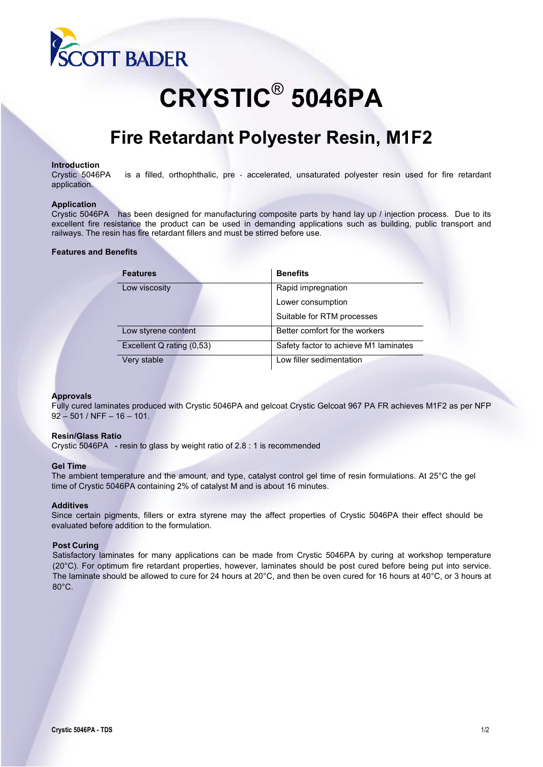

# **CRYSTIC**®  **5046PA**

## **Fire Retardant Polyester Resin, M1F2**

**Introduction**<br>Crystic 5046PA is a filled, orthophthalic, pre - accelerated, unsaturated polyester resin used for fire retardant application.

#### **Application**

Crystic 5046PAhas been designed for manufacturing composite parts by hand lay up / injection process. Due to its excellent fire resistance the product can be used in demanding applications such as building, public transport and railways. The resin has fire retardant fillers and must be stirred before use.

#### **Features and Benefits**

| <b>Features</b>           | <b>Benefits</b>                       |  |
|---------------------------|---------------------------------------|--|
| Low viscosity             | Rapid impregnation                    |  |
|                           | Lower consumption                     |  |
|                           | Suitable for RTM processes            |  |
| Low styrene content       | Better comfort for the workers        |  |
| Excellent Q rating (0,53) | Safety factor to achieve M1 laminates |  |
| Very stable               | Low filler sedimentation              |  |

#### **Approvals**

Fully cured laminates produced with Crystic 5046PA and gelcoat Crystic Gelcoat 967 PA FR achieves M1F2 as per NFP 92 – 501 / NFF – 16 – 101.

#### **Resin/Glass Ratio**

Crystic 5046PA **‐** resin to glass by weight ratio of 2.8 : 1 is recommended

#### **Gel Time**

The ambient temperature and the amount, and type, catalyst control gel time of resin formulations. At 25°C the gel time of Crystic 5046PA containing 2% of catalyst M and is about 16 minutes.

#### **Additives**

Since certain pigments, fillers or extra styrene may the affect properties of Crystic 5046PA their effect should be evaluated before addition to the formulation.

#### **Post Curing**

Satisfactory laminates for many applications can be made from Crystic 5046PA by curing at workshop temperature (20°C). For optimum fire retardant properties, however, laminates should be post cured before being put into service. The laminate should be allowed to cure for 24 hours at 20°C, and then be oven cured for 16 hours at 40°C, or 3 hours at 80°C.